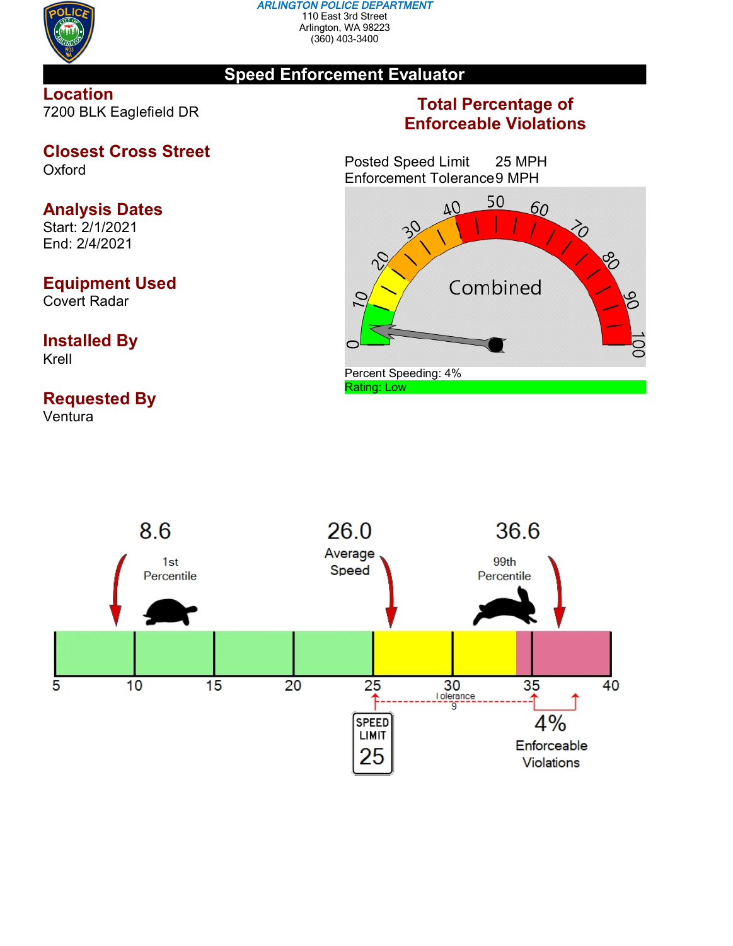

#### *ARLINGTON POLICE DEPARTMENT* 110 East 3rd Street Arlington, WA 98223 (360) 403-3400

## **Speed Enforcement Evaluator**

## **Location** 7200 BLK Eaglefield DR

### **Closest Cross Street Oxford**

# **Analysis Dates**

Start: 2/1/2021 End: 2/4/2021

# **Equipment Used**

Covert Radar

## **Installed By** Krell

# **Requested By**

Ventura

# **Total Percentage of Enforceable Violations**

Posted Speed Limit 25 MPH Enforcement Tolerance9 MPH